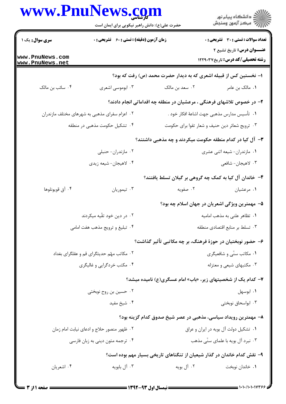|                                               | www.PnuNews.com<br>حضرت علی(ع): دانش راهبر نیکویی برای ایمان است |                                                                          | ِ<br>∭ دانشڪاه پيام نور<br>∭ مرڪز آزمون وسنڊش                             |  |
|-----------------------------------------------|------------------------------------------------------------------|--------------------------------------------------------------------------|---------------------------------------------------------------------------|--|
| <b>سری سوال :</b> یک ۱                        | زمان آزمون (دقیقه) : تستی : 60 ٪ تشریحی : 0                      |                                                                          | <b>تعداد سوالات : تستی : 30 - تشریحی : 0</b><br>عنــوان درس: تاریخ تشیع ۲ |  |
| www.PnuNews.com<br>www.PnuNews.net            |                                                                  |                                                                          | <b>رشته تحصیلی/کد درس:</b> تاریخ ۱۲۲۹۰۳۷                                  |  |
|                                               |                                                                  | ا– نخستین کس از قبیله اشعری که به دیدار حضرت محمد (ص) رفت که بود؟        |                                                                           |  |
| ۰۴ سائب بن مالک                               | ۰۳ ابوموسی اشعری                                                 | ۰۲ سعد بن مالک                                                           | ٠١. مالک بن عامر                                                          |  |
|                                               |                                                                  | ۲– در خصوص تلاشهای فرهنگی ، مرعشیان در منطقه چه اقداماتی انجام دادند؟    |                                                                           |  |
| ۰۲ اعزام سفرای مذهبی به شهرهای مختلف مازندران |                                                                  | ٠١. تأسيس مدارس مذهبي جهت اشاعهٔ افكار خود .                             |                                                                           |  |
| ۰۴ تشکیل حکومت مذهبی در منطقه                 |                                                                  |                                                                          | ۰۳ ترویج شعائر دین حنیف و شعار تقوا برای حکومت                            |  |
|                                               |                                                                  | <b>۳</b> – آل کیا در کدام منطقه حکومت میکردند و چه مذهبی داشتند؟         |                                                                           |  |
|                                               | ۰۲ مازندران- حنبلی                                               |                                                                          | ۰۱ مازندران- شیعه اثنی عشری                                               |  |
|                                               | ۰۴ لاهيجان- شيعه زيدي                                            |                                                                          | ۰۳ لاهيجان- شافعي                                                         |  |
|                                               |                                                                  | ۴– خاندان آل کیا به کمک چه گروهی بر گیلان تسلط یافتند؟                   |                                                                           |  |
| ۰۴ آق قويونلوها                               | ۰۳ تيموريان                                                      | ۰۲ صفویه                                                                 | ۰۱ مرعشیان                                                                |  |
|                                               |                                                                  |                                                                          | ۵– مهمترین ویژگی اشعریان در جهان اسلام چه بود؟                            |  |
| ۰۲ در دین خود تقّیه میکردند                   |                                                                  |                                                                          | ۰۱ تظاهر علنی به مذهب امامیه                                              |  |
| ۰۴ تبلیغ و ترویج مذهب هفت امامی               |                                                                  | ۰۳ تسلط بر منابع اقتصادى منطقه                                           |                                                                           |  |
|                                               |                                                                  | ۶– حضور نوبختیان در حوزهٔ فرهنگ، بر چه مکاتبی تأثیر گذاشت؟               |                                                                           |  |
| ۰۲ مکاتب مهّم حدیثگرای قم و عقلگرای بغداد     |                                                                  |                                                                          | ۰۱ مکاتب سنّی و شافعیگری                                                  |  |
| ۰۴ مکتب خردگرایی و غالیگری                    |                                                                  |                                                                          | ۰۳ مکتبهای شیعی و معتزله                                                  |  |
|                                               |                                                                  | ۷- کدام یک از شخصیتهای زیر، «باب» امام عسگری(ع) نامیده میشد؟             |                                                                           |  |
| ۰۲ حسین بن روح نوبختی                         |                                                                  |                                                                          | ۰۱ ابوسهل                                                                 |  |
|                                               | ۰۴ شیخ مفید                                                      |                                                                          | ۰۳ ابواسحاق نوبختی                                                        |  |
|                                               |                                                                  | ۸– مهمترین رویداد سیاسی، مذهبی در عصر شیخ صدوق کدام گزینه بود؟           |                                                                           |  |
|                                               | ۰۲ ظهور منصور حلاج و ادعای نیابت امام زمان                       | ٠١ تشكيل دولت آل بويه در ايران و عراق                                    |                                                                           |  |
|                                               | ۰۴ ترجمه متون دینی به زبان فارسی                                 |                                                                          | ۰۳ نبرد آل بویه با علمای سنّی مذهب                                        |  |
|                                               |                                                                  | ۹– نقش کدام خاندان در گذار شیعیان از تنگناهای تاریخی بسیار مهم بوده است؟ |                                                                           |  |
|                                               |                                                                  |                                                                          |                                                                           |  |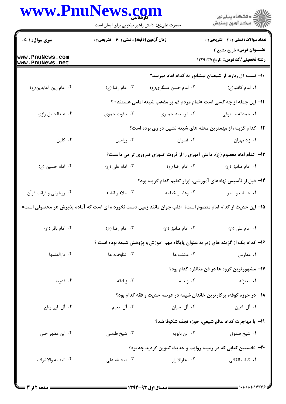## www.PnuNews.com

اران<br>الله دانشگاه پیام نور<br>الله مرکز آزمون وسنجش حضرت علی(ع): دانش راهبر نیکویی برای ایمان است **تعداد سوالات : تستی : 30 ٪ تشریحی : 0 زمان آزمون (دقیقه) : تستی : 60 گشریحی: 0 سری سوال : ۱ یک عنـــوان درس:** تاریخ تشیع ۲ www.PnuNews.com **رشته تحصیلی/کد درس:** تاریخ1۲۲۹۰۳۷ www.PnuNews.net ۱۰– نسب آل زباره، از شیعیان نیشابور به کدام امام میرسد؟ ٠١. امام كاظم(ع) ۰۴ امام زين العابدين(ع) 11- این جمله از چه کسی است «تمام مردم قم بر مذهب شیعه امامی هستند» ؟ ۰۴ عبدالجليل رازي ۰۳ پاقوت حموی ۰۲ ابوسعید حمیری ۰۱ حمداله مستوفی ۱۲- کدام گزینه، از مهمترین محله های شیعه نشین در ری بوده است؟ ۰۴ کلین ۰۳ ورامین ۰۲ قصران ۰۱ زاد مهران ۱۳- کدام امام معصوم (ع)، دانش آموزی را از ثروت اندوزی ضروری تر می دانست؟ ۰۴ امام حسين (ع) ۰۳ امام علی (ع) ۲. امام رضا (ع) ۰۱ امام صادق (ع) ۱۴– قبل از تآسیس نهادهای آموزشی، ابزار تعلیم کدام گزینه بود؟ ۰۴ روخوانی و قرائت قرآن ۰۳ املاء و انشاء ۰۲ وعظ و خطابه ۰۱ حساب و شعر 1۵– این حدیث از کدام امام معصوم است؟ «قلب جوان مانند زمین دست نخورد ه ای است که آماده پذیرش هر محصولی است» ۰۴ امام باقر (ع) ۰۳ امام , ضا (ع) ۰۲ امام صادق (ع) ۰۱ امام علي (ع) ۱۶– کدام یک از گزینه های زیر به عنوان پایگاه مهم آموزش و پژوهش شیعه بوده است ؟ ۰۴ دا, العلمها ۰۳ کتابخانه ها ۰۲ مکتب ها ۰۱ مدارس ۱۷– مشهورترین گروه ها در فن مناظره کدام بود؟ ۰۴ قدریه ۰۳ ; نادقه ۰۲ ; بدیه ۰۱ معتزله ۱۸– در حوزه کوفه، پرکارترین خاندان شیعه در عرصه حدیث و فقه کدام بود؟ ۰۴ آل ابي رافع ۰۳ آل نعیم ۰۲ آل حیان ٠١. آل اعين 19- با مهاجرت كدام عالم شيعي، حوزه نجف شكوفا شد؟ ۰۴ ابن مطهر حلي ۰۲ ابن بابویه ۰۳ شیخ طوسی ٠١ شيخ صدوق ۲۰- نخستین کتابی که در زمینه روایت و حدیث تدوین گردید چه بود؟ ۰۱ کتاب الکاف<sub>ی</sub> ۰۴ التنبيه والاشراف ۰۳ صحیفه علی ٢. بحارالانوار